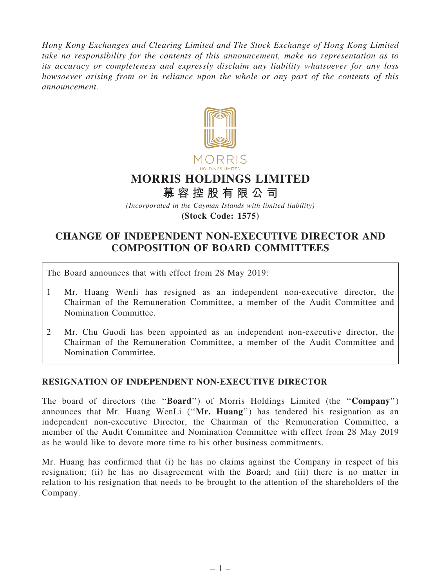Hong Kong Exchanges and Clearing Limited and The Stock Exchange of Hong Kong Limited take no responsibility for the contents of this announcement, make no representation as to its accuracy or completeness and expressly disclaim any liability whatsoever for any loss howsoever arising from or in reliance upon the whole or any part of the contents of this announcement.



(Incorporated in the Cayman Islands with limited liability) (Stock Code: 1575)

## CHANGE OF INDEPENDENT NON-EXECUTIVE DIRECTOR AND COMPOSITION OF BOARD COMMITTEES

The Board announces that with effect from 28 May 2019:

- 1 Mr. Huang Wenli has resigned as an independent non-executive director, the Chairman of the Remuneration Committee, a member of the Audit Committee and Nomination Committee.
- 2 Mr. Chu Guodi has been appointed as an independent non-executive director, the Chairman of the Remuneration Committee, a member of the Audit Committee and Nomination Committee.

## RESIGNATION OF INDEPENDENT NON-EXECUTIVE DIRECTOR

The board of directors (the "**Board**") of Morris Holdings Limited (the "**Company**") announces that Mr. Huang WenLi (''Mr. Huang'') has tendered his resignation as an independent non-executive Director, the Chairman of the Remuneration Committee, a member of the Audit Committee and Nomination Committee with effect from 28 May 2019 as he would like to devote more time to his other business commitments.

Mr. Huang has confirmed that (i) he has no claims against the Company in respect of his resignation; (ii) he has no disagreement with the Board; and (iii) there is no matter in relation to his resignation that needs to be brought to the attention of the shareholders of the Company.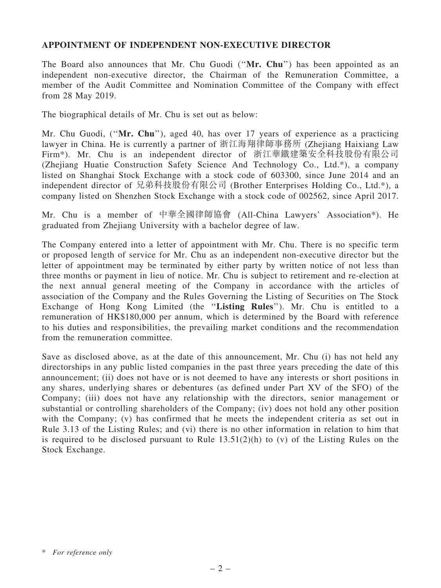## APPOINTMENT OF INDEPENDENT NON-EXECUTIVE DIRECTOR

The Board also announces that Mr. Chu Guodi ("Mr. Chu") has been appointed as an independent non-executive director, the Chairman of the Remuneration Committee, a member of the Audit Committee and Nomination Committee of the Company with effect from 28 May 2019.

The biographical details of Mr. Chu is set out as below:

Mr. Chu Guodi, (''Mr. Chu''), aged 40, has over 17 years of experience as a practicing lawyer in China. He is currently a partner of 浙江海翔律師事務所 (Zhejiang Haixiang Law Firm\*). Mr. Chu is an independent director of 浙江華鐵建築安全科技股份有限公司 (Zhejiang Huatie Construction Safety Science And Technology Co., Ltd.\*), a company listed on Shanghai Stock Exchange with a stock code of 603300, since June 2014 and an independent director of 兄弟科技股份有限公司 (Brother Enterprises Holding Co., Ltd.\*), a company listed on Shenzhen Stock Exchange with a stock code of 002562, since April 2017.

Mr. Chu is a member of 中華全國律師協會 (All-China Lawyers' Association\*). He graduated from Zhejiang University with a bachelor degree of law.

The Company entered into a letter of appointment with Mr. Chu. There is no specific term or proposed length of service for Mr. Chu as an independent non-executive director but the letter of appointment may be terminated by either party by written notice of not less than three months or payment in lieu of notice. Mr. Chu is subject to retirement and re-election at the next annual general meeting of the Company in accordance with the articles of association of the Company and the Rules Governing the Listing of Securities on The Stock Exchange of Hong Kong Limited (the "Listing Rules"). Mr. Chu is entitled to a remuneration of HK\$180,000 per annum, which is determined by the Board with reference to his duties and responsibilities, the prevailing market conditions and the recommendation from the remuneration committee.

Save as disclosed above, as at the date of this announcement, Mr. Chu (i) has not held any directorships in any public listed companies in the past three years preceding the date of this announcement; (ii) does not have or is not deemed to have any interests or short positions in any shares, underlying shares or debentures (as defined under Part XV of the SFO) of the Company; (iii) does not have any relationship with the directors, senior management or substantial or controlling shareholders of the Company; (iv) does not hold any other position with the Company; (v) has confirmed that he meets the independent criteria as set out in Rule 3.13 of the Listing Rules; and (vi) there is no other information in relation to him that is required to be disclosed pursuant to Rule  $13.51(2)(h)$  to (v) of the Listing Rules on the Stock Exchange.

<sup>\*</sup> For reference only